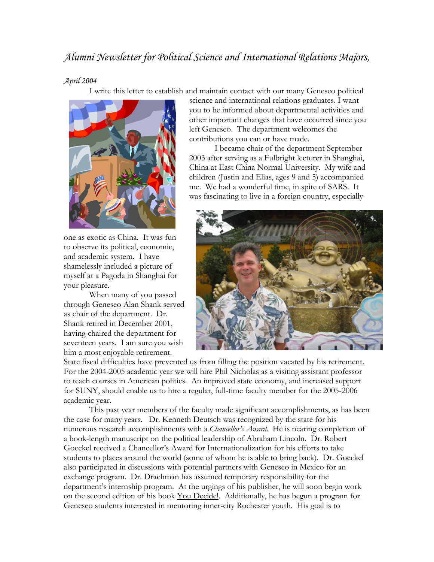## *Alumni Newsletter for Political Science and International Relations Majors,*

## *April 2004*

I write this letter to establish and maintain contact with our many Geneseo political



one as exotic as China. It was fun to observe its political, economic, and academic system. I have shamelessly included a picture of myself at a Pagoda in Shanghai for your pleasure.

 When many of you passed through Geneseo Alan Shank served as chair of the department. Dr. Shank retired in December 2001, having chaired the department for seventeen years. I am sure you wish him a most enjoyable retirement.

science and international relations graduates. I want you to be informed about departmental activities and other important changes that have occurred since you left Geneseo. The department welcomes the contributions you can or have made.

 I became chair of the department September 2003 after serving as a Fulbright lecturer in Shanghai, China at East China Normal University. My wife and children (Justin and Elias, ages 9 and 5) accompanied me. We had a wonderful time, in spite of SARS. It was fascinating to live in a foreign country, especially



State fiscal difficulties have prevented us from filling the position vacated by his retirement. For the 2004-2005 academic year we will hire Phil Nicholas as a visiting assistant professor to teach courses in American politics. An improved state economy, and increased support for SUNY, should enable us to hire a regular, full-time faculty member for the 2005-2006 academic year.

 This past year members of the faculty made significant accomplishments, as has been the case for many years. Dr. Kenneth Deutsch was recognized by the state for his numerous research accomplishments with a *Chancellor's Award*. He is nearing completion of a book-length manuscript on the political leadership of Abraham Lincoln. Dr. Robert Goeckel received a Chancellor's Award for Internationalization for his efforts to take students to places around the world (some of whom he is able to bring back). Dr. Goeckel also participated in discussions with potential partners with Geneseo in Mexico for an exchange program. Dr. Drachman has assumed temporary responsibility for the department's internship program. At the urgings of his publisher, he will soon begin work on the second edition of his book You Decide!. Additionally, he has begun a program for Geneseo students interested in mentoring inner-city Rochester youth. His goal is to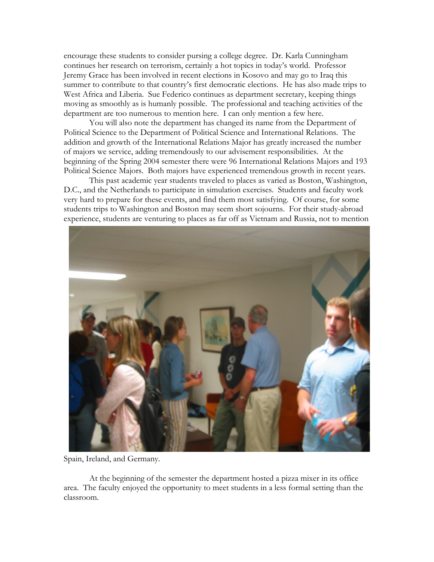encourage these students to consider pursing a college degree. Dr. Karla Cunningham continues her research on terrorism, certainly a hot topics in today's world. Professor Jeremy Grace has been involved in recent elections in Kosovo and may go to Iraq this summer to contribute to that country's first democratic elections. He has also made trips to West Africa and Liberia. Sue Federico continues as department secretary, keeping things moving as smoothly as is humanly possible. The professional and teaching activities of the department are too numerous to mention here. I can only mention a few here.

 You will also note the department has changed its name from the Department of Political Science to the Department of Political Science and International Relations. The addition and growth of the International Relations Major has greatly increased the number of majors we service, adding tremendously to our advisement responsibilities. At the beginning of the Spring 2004 semester there were 96 International Relations Majors and 193 Political Science Majors. Both majors have experienced tremendous growth in recent years.

 This past academic year students traveled to places as varied as Boston, Washington, D.C., and the Netherlands to participate in simulation exercises. Students and faculty work very hard to prepare for these events, and find them most satisfying. Of course, for some students trips to Washington and Boston may seem short sojourns. For their study-abroad experience, students are venturing to places as far off as Vietnam and Russia, not to mention



Spain, Ireland, and Germany.

 At the beginning of the semester the department hosted a pizza mixer in its office area. The faculty enjoyed the opportunity to meet students in a less formal setting than the classroom.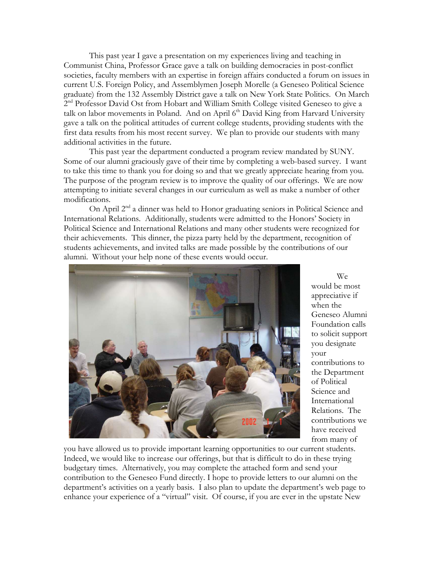This past year I gave a presentation on my experiences living and teaching in Communist China, Professor Grace gave a talk on building democracies in post-conflict societies, faculty members with an expertise in foreign affairs conducted a forum on issues in current U.S. Foreign Policy, and Assemblymen Joseph Morelle (a Geneseo Political Science graduate) from the 132 Assembly District gave a talk on New York State Politics. On March 2<sup>nd</sup> Professor David Ost from Hobart and William Smith College visited Geneseo to give a talk on labor movements in Poland. And on April 6<sup>th</sup> David King from Harvard University gave a talk on the political attitudes of current college students, providing students with the first data results from his most recent survey. We plan to provide our students with many additional activities in the future.

This past year the department conducted a program review mandated by SUNY. Some of our alumni graciously gave of their time by completing a web-based survey. I want to take this time to thank you for doing so and that we greatly appreciate hearing from you. The purpose of the program review is to improve the quality of our offerings. We are now attempting to initiate several changes in our curriculum as well as make a number of other modifications.

On April 2<sup>nd</sup> a dinner was held to Honor graduating seniors in Political Science and International Relations. Additionally, students were admitted to the Honors' Society in Political Science and International Relations and many other students were recognized for their achievements. This dinner, the pizza party held by the department, recognition of students achievements, and invited talks are made possible by the contributions of our alumni. Without your help none of these events would occur.



 We would be most appreciative if when the Geneseo Alumni Foundation calls to solicit support you designate your contributions to the Department of Political Science and International Relations. The contributions we have received from many of

you have allowed us to provide important learning opportunities to our current students. Indeed, we would like to increase our offerings, but that is difficult to do in these trying budgetary times. Alternatively, you may complete the attached form and send your contribution to the Geneseo Fund directly. I hope to provide letters to our alumni on the department's activities on a yearly basis. I also plan to update the department's web page to enhance your experience of a "virtual" visit. Of course, if you are ever in the upstate New